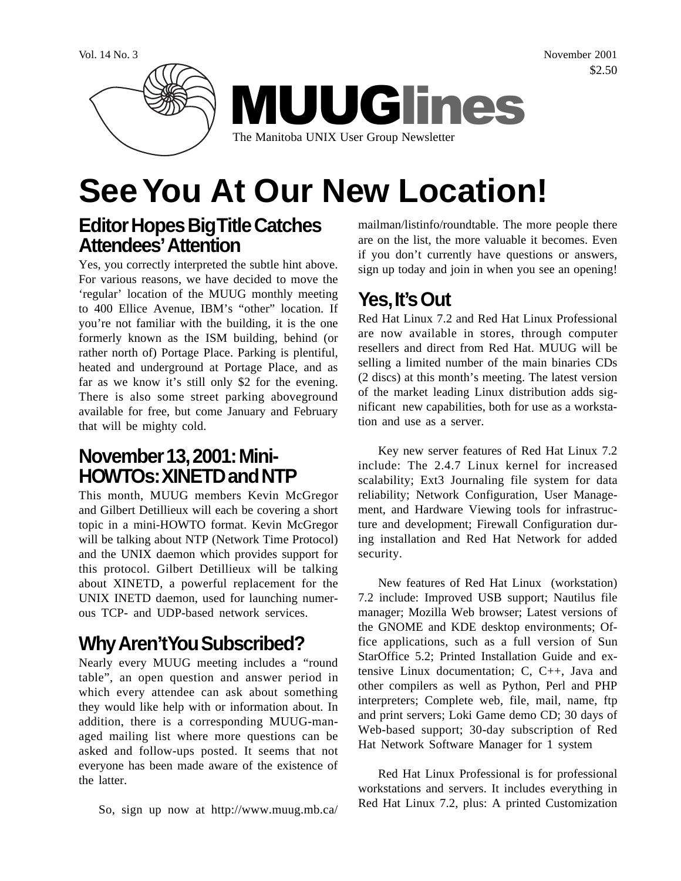Vol. 14 No. 3 November 2001 \$2.50



# **See You At Our New Location!**

## **Editor Hopes Big Title Catches Attendees' Attention**

Yes, you correctly interpreted the subtle hint above. For various reasons, we have decided to move the 'regular' location of the MUUG monthly meeting to 400 Ellice Avenue, IBM's "other" location. If you're not familiar with the building, it is the one formerly known as the ISM building, behind (or rather north of) Portage Place. Parking is plentiful, heated and underground at Portage Place, and as far as we know it's still only \$2 for the evening. There is also some street parking aboveground available for free, but come January and February that will be mighty cold.

### **November 13, 2001: Mini-HOWTOs: XINETD and NTP**

This month, MUUG members Kevin McGregor and Gilbert Detillieux will each be covering a short topic in a mini-HOWTO format. Kevin McGregor will be talking about NTP (Network Time Protocol) and the UNIX daemon which provides support for this protocol. Gilbert Detillieux will be talking about XINETD, a powerful replacement for the UNIX INETD daemon, used for launching numerous TCP- and UDP-based network services.

## **Why Aren't You Subscribed?**

Nearly every MUUG meeting includes a "round table", an open question and answer period in which every attendee can ask about something they would like help with or information about. In addition, there is a corresponding MUUG-managed mailing list where more questions can be asked and follow-ups posted. It seems that not everyone has been made aware of the existence of the latter.

So, sign up now at http://www.muug.mb.ca/

mailman/listinfo/roundtable. The more people there are on the list, the more valuable it becomes. Even if you don't currently have questions or answers, sign up today and join in when you see an opening!

# **Yes, It's Out**

Red Hat Linux 7.2 and Red Hat Linux Professional are now available in stores, through computer resellers and direct from Red Hat. MUUG will be selling a limited number of the main binaries CDs (2 discs) at this month's meeting. The latest version of the market leading Linux distribution adds significant new capabilities, both for use as a workstation and use as a server.

Key new server features of Red Hat Linux 7.2 include: The 2.4.7 Linux kernel for increased scalability; Ext3 Journaling file system for data reliability; Network Configuration, User Management, and Hardware Viewing tools for infrastructure and development; Firewall Configuration during installation and Red Hat Network for added security.

New features of Red Hat Linux (workstation) 7.2 include: Improved USB support; Nautilus file manager; Mozilla Web browser; Latest versions of the GNOME and KDE desktop environments; Office applications, such as a full version of Sun StarOffice 5.2; Printed Installation Guide and extensive Linux documentation; C, C++, Java and other compilers as well as Python, Perl and PHP interpreters; Complete web, file, mail, name, ftp and print servers; Loki Game demo CD; 30 days of Web-based support; 30-day subscription of Red Hat Network Software Manager for 1 system

Red Hat Linux Professional is for professional workstations and servers. It includes everything in Red Hat Linux 7.2, plus: A printed Customization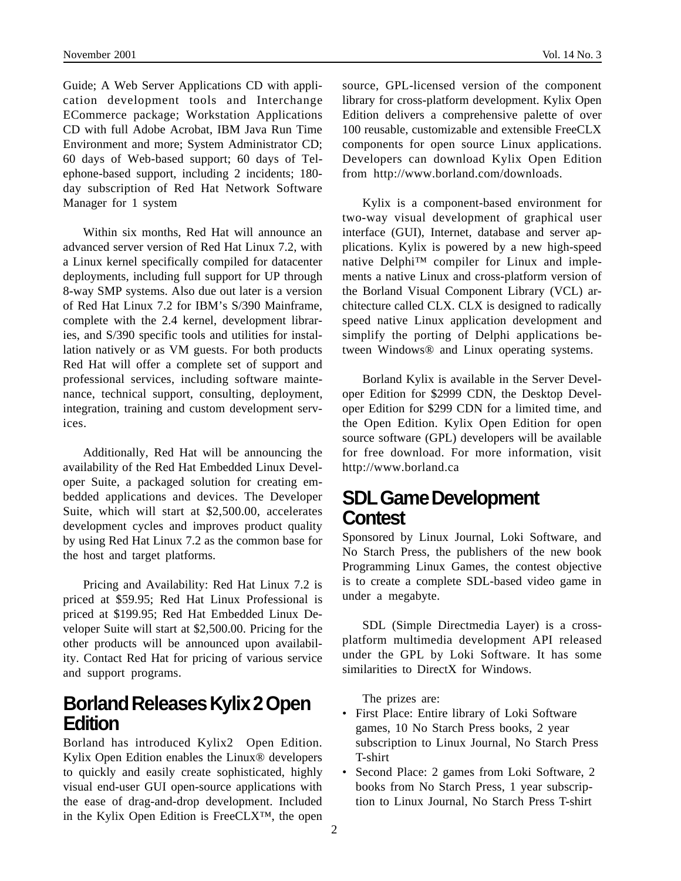Guide; A Web Server Applications CD with application development tools and Interchange ECommerce package; Workstation Applications CD with full Adobe Acrobat, IBM Java Run Time Environment and more; System Administrator CD; 60 days of Web-based support; 60 days of Telephone-based support, including 2 incidents; 180 day subscription of Red Hat Network Software Manager for 1 system

Within six months, Red Hat will announce an advanced server version of Red Hat Linux 7.2, with a Linux kernel specifically compiled for datacenter deployments, including full support for UP through 8-way SMP systems. Also due out later is a version of Red Hat Linux 7.2 for IBM's S/390 Mainframe, complete with the 2.4 kernel, development libraries, and S/390 specific tools and utilities for installation natively or as VM guests. For both products Red Hat will offer a complete set of support and professional services, including software maintenance, technical support, consulting, deployment, integration, training and custom development services.

Additionally, Red Hat will be announcing the availability of the Red Hat Embedded Linux Developer Suite, a packaged solution for creating embedded applications and devices. The Developer Suite, which will start at \$2,500.00, accelerates development cycles and improves product quality by using Red Hat Linux 7.2 as the common base for the host and target platforms.

Pricing and Availability: Red Hat Linux 7.2 is priced at \$59.95; Red Hat Linux Professional is priced at \$199.95; Red Hat Embedded Linux Developer Suite will start at \$2,500.00. Pricing for the other products will be announced upon availability. Contact Red Hat for pricing of various service and support programs.

#### **Borland Releases Kylix 2 Open Edition**

Borland has introduced Kylix2 Open Edition. Kylix Open Edition enables the Linux® developers to quickly and easily create sophisticated, highly visual end-user GUI open-source applications with the ease of drag-and-drop development. Included in the Kylix Open Edition is FreeCLX™, the open

source, GPL-licensed version of the component library for cross-platform development. Kylix Open Edition delivers a comprehensive palette of over 100 reusable, customizable and extensible FreeCLX components for open source Linux applications. Developers can download Kylix Open Edition from http://www.borland.com/downloads.

Kylix is a component-based environment for two-way visual development of graphical user interface (GUI), Internet, database and server applications. Kylix is powered by a new high-speed native Delphi™ compiler for Linux and implements a native Linux and cross-platform version of the Borland Visual Component Library (VCL) architecture called CLX. CLX is designed to radically speed native Linux application development and simplify the porting of Delphi applications between Windows® and Linux operating systems.

Borland Kylix is available in the Server Developer Edition for \$2999 CDN, the Desktop Developer Edition for \$299 CDN for a limited time, and the Open Edition. Kylix Open Edition for open source software (GPL) developers will be available for free download. For more information, visit http://www.borland.ca

#### **SDL Game Development Contest**

Sponsored by Linux Journal, Loki Software, and No Starch Press, the publishers of the new book Programming Linux Games, the contest objective is to create a complete SDL-based video game in under a megabyte.

SDL (Simple Directmedia Layer) is a crossplatform multimedia development API released under the GPL by Loki Software. It has some similarities to DirectX for Windows.

The prizes are:

- First Place: Entire library of Loki Software games, 10 No Starch Press books, 2 year subscription to Linux Journal, No Starch Press T-shirt
- Second Place: 2 games from Loki Software, 2 books from No Starch Press, 1 year subscription to Linux Journal, No Starch Press T-shirt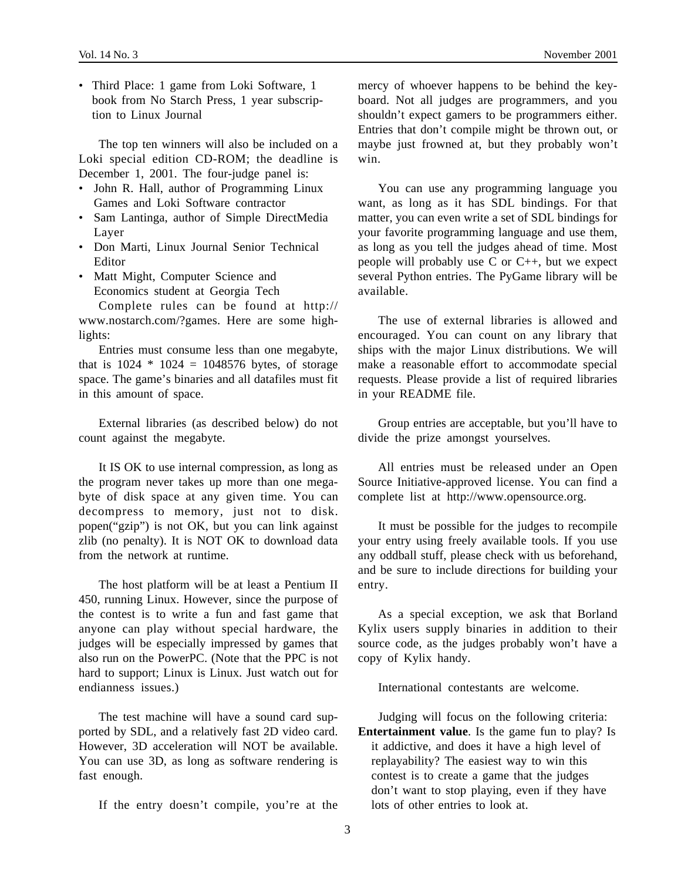• Third Place: 1 game from Loki Software, 1 book from No Starch Press, 1 year subscription to Linux Journal

The top ten winners will also be included on a Loki special edition CD-ROM; the deadline is December 1, 2001. The four-judge panel is:

- John R. Hall, author of Programming Linux Games and Loki Software contractor
- Sam Lantinga, author of Simple DirectMedia Layer
- Don Marti, Linux Journal Senior Technical Editor
- Matt Might, Computer Science and Economics student at Georgia Tech

Complete rules can be found at http:// www.nostarch.com/?games. Here are some highlights:

Entries must consume less than one megabyte, that is  $1024 * 1024 = 1048576$  bytes, of storage space. The game's binaries and all datafiles must fit in this amount of space.

External libraries (as described below) do not count against the megabyte.

It IS OK to use internal compression, as long as the program never takes up more than one megabyte of disk space at any given time. You can decompress to memory, just not to disk. popen("gzip") is not OK, but you can link against zlib (no penalty). It is NOT OK to download data from the network at runtime.

The host platform will be at least a Pentium II 450, running Linux. However, since the purpose of the contest is to write a fun and fast game that anyone can play without special hardware, the judges will be especially impressed by games that also run on the PowerPC. (Note that the PPC is not hard to support; Linux is Linux. Just watch out for endianness issues.)

The test machine will have a sound card supported by SDL, and a relatively fast 2D video card. However, 3D acceleration will NOT be available. You can use 3D, as long as software rendering is fast enough.

If the entry doesn't compile, you're at the

mercy of whoever happens to be behind the keyboard. Not all judges are programmers, and you shouldn't expect gamers to be programmers either. Entries that don't compile might be thrown out, or maybe just frowned at, but they probably won't win.

You can use any programming language you want, as long as it has SDL bindings. For that matter, you can even write a set of SDL bindings for your favorite programming language and use them, as long as you tell the judges ahead of time. Most people will probably use C or C++, but we expect several Python entries. The PyGame library will be available.

The use of external libraries is allowed and encouraged. You can count on any library that ships with the major Linux distributions. We will make a reasonable effort to accommodate special requests. Please provide a list of required libraries in your README file.

Group entries are acceptable, but you'll have to divide the prize amongst yourselves.

All entries must be released under an Open Source Initiative-approved license. You can find a complete list at http://www.opensource.org.

It must be possible for the judges to recompile your entry using freely available tools. If you use any oddball stuff, please check with us beforehand, and be sure to include directions for building your entry.

As a special exception, we ask that Borland Kylix users supply binaries in addition to their source code, as the judges probably won't have a copy of Kylix handy.

International contestants are welcome.

Judging will focus on the following criteria: **Entertainment value**. Is the game fun to play? Is it addictive, and does it have a high level of replayability? The easiest way to win this contest is to create a game that the judges don't want to stop playing, even if they have lots of other entries to look at.